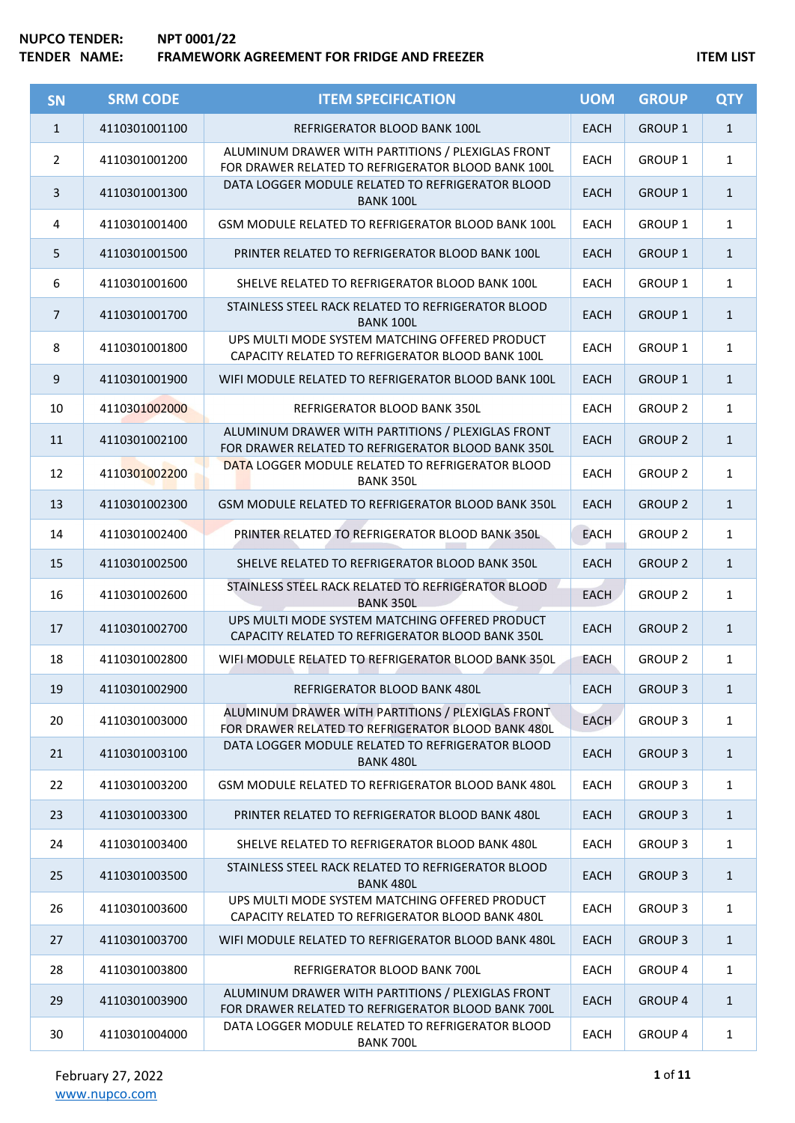| <b>SN</b>      | <b>SRM CODE</b> | <b>ITEM SPECIFICATION</b>                                                                               | <b>UOM</b>  | <b>GROUP</b>   | <b>QTY</b>   |
|----------------|-----------------|---------------------------------------------------------------------------------------------------------|-------------|----------------|--------------|
| $\mathbf{1}$   | 4110301001100   | REFRIGERATOR BLOOD BANK 100L                                                                            | <b>EACH</b> | <b>GROUP 1</b> | $\mathbf{1}$ |
| $\overline{2}$ | 4110301001200   | ALUMINUM DRAWER WITH PARTITIONS / PLEXIGLAS FRONT<br>FOR DRAWER RELATED TO REFRIGERATOR BLOOD BANK 100L | <b>EACH</b> | <b>GROUP 1</b> | $\mathbf{1}$ |
| 3              | 4110301001300   | DATA LOGGER MODULE RELATED TO REFRIGERATOR BLOOD<br><b>BANK 100L</b>                                    | <b>EACH</b> | <b>GROUP 1</b> | $\mathbf{1}$ |
| 4              | 4110301001400   | GSM MODULE RELATED TO REFRIGERATOR BLOOD BANK 100L                                                      | <b>EACH</b> | <b>GROUP 1</b> | $\mathbf{1}$ |
| 5              | 4110301001500   | PRINTER RELATED TO REFRIGERATOR BLOOD BANK 100L                                                         | <b>EACH</b> | <b>GROUP 1</b> | $\mathbf{1}$ |
| 6              | 4110301001600   | SHELVE RELATED TO REFRIGERATOR BLOOD BANK 100L                                                          | EACH        | GROUP 1        | $\mathbf{1}$ |
| $\overline{7}$ | 4110301001700   | STAINLESS STEEL RACK RELATED TO REFRIGERATOR BLOOD<br><b>BANK 100L</b>                                  | <b>EACH</b> | <b>GROUP 1</b> | $\mathbf{1}$ |
| 8              | 4110301001800   | UPS MULTI MODE SYSTEM MATCHING OFFERED PRODUCT<br>CAPACITY RELATED TO REFRIGERATOR BLOOD BANK 100L      | EACH        | <b>GROUP 1</b> | $\mathbf{1}$ |
| 9              | 4110301001900   | WIFI MODULE RELATED TO REFRIGERATOR BLOOD BANK 100L                                                     | <b>EACH</b> | <b>GROUP 1</b> | $\mathbf{1}$ |
| 10             | 4110301002000   | REFRIGERATOR BLOOD BANK 350L                                                                            | <b>EACH</b> | <b>GROUP 2</b> | $\mathbf{1}$ |
| 11             | 4110301002100   | ALUMINUM DRAWER WITH PARTITIONS / PLEXIGLAS FRONT<br>FOR DRAWER RELATED TO REFRIGERATOR BLOOD BANK 350L | <b>EACH</b> | <b>GROUP 2</b> | $\mathbf{1}$ |
| 12             | 4110301002200   | DATA LOGGER MODULE RELATED TO REFRIGERATOR BLOOD<br><b>BANK 350L</b>                                    | <b>EACH</b> | <b>GROUP 2</b> | $\mathbf{1}$ |
| 13             | 4110301002300   | GSM MODULE RELATED TO REFRIGERATOR BLOOD BANK 350L                                                      | <b>EACH</b> | <b>GROUP 2</b> | $\mathbf{1}$ |
| 14             | 4110301002400   | PRINTER RELATED TO REFRIGERATOR BLOOD BANK 350L                                                         | <b>EACH</b> | <b>GROUP 2</b> | $\mathbf{1}$ |
| 15             | 4110301002500   | SHELVE RELATED TO REFRIGERATOR BLOOD BANK 350L                                                          | <b>EACH</b> | <b>GROUP 2</b> | $\mathbf{1}$ |
| 16             | 4110301002600   | STAINLESS STEEL RACK RELATED TO REFRIGERATOR BLOOD<br><b>BANK 350L</b>                                  | <b>EACH</b> | <b>GROUP 2</b> | $\mathbf{1}$ |
| 17             | 4110301002700   | UPS MULTI MODE SYSTEM MATCHING OFFERED PRODUCT<br>CAPACITY RELATED TO REFRIGERATOR BLOOD BANK 350L      | <b>EACH</b> | <b>GROUP 2</b> | $\mathbf{1}$ |
| 18             | 4110301002800   | WIFI MODULE RELATED TO REFRIGERATOR BLOOD BANK 350L                                                     | <b>EACH</b> | <b>GROUP 2</b> | $\mathbf{1}$ |
| 19             | 4110301002900   | REFRIGERATOR BLOOD BANK 480L                                                                            | <b>EACH</b> | <b>GROUP 3</b> | $\mathbf{1}$ |
| 20             | 4110301003000   | ALUMINUM DRAWER WITH PARTITIONS / PLEXIGLAS FRONT<br>FOR DRAWER RELATED TO REFRIGERATOR BLOOD BANK 480L | <b>EACH</b> | <b>GROUP 3</b> | $\mathbf{1}$ |
| 21             | 4110301003100   | DATA LOGGER MODULE RELATED TO REFRIGERATOR BLOOD<br><b>BANK 480L</b>                                    | <b>EACH</b> | <b>GROUP 3</b> | $\mathbf{1}$ |
| 22             | 4110301003200   | GSM MODULE RELATED TO REFRIGERATOR BLOOD BANK 480L                                                      | EACH        | <b>GROUP 3</b> | 1            |
| 23             | 4110301003300   | PRINTER RELATED TO REFRIGERATOR BLOOD BANK 480L                                                         | <b>EACH</b> | <b>GROUP 3</b> | $\mathbf{1}$ |
| 24             | 4110301003400   | SHELVE RELATED TO REFRIGERATOR BLOOD BANK 480L                                                          | EACH        | <b>GROUP 3</b> | $\mathbf{1}$ |
| 25             | 4110301003500   | STAINLESS STEEL RACK RELATED TO REFRIGERATOR BLOOD<br><b>BANK 480L</b>                                  | <b>EACH</b> | <b>GROUP 3</b> | $\mathbf{1}$ |
| 26             | 4110301003600   | UPS MULTI MODE SYSTEM MATCHING OFFERED PRODUCT<br>CAPACITY RELATED TO REFRIGERATOR BLOOD BANK 480L      | EACH        | <b>GROUP 3</b> | $\mathbf{1}$ |
| 27             | 4110301003700   | WIFI MODULE RELATED TO REFRIGERATOR BLOOD BANK 480L                                                     | <b>EACH</b> | <b>GROUP 3</b> | $\mathbf{1}$ |
| 28             | 4110301003800   | REFRIGERATOR BLOOD BANK 700L                                                                            | <b>EACH</b> | GROUP 4        | 1            |
| 29             | 4110301003900   | ALUMINUM DRAWER WITH PARTITIONS / PLEXIGLAS FRONT<br>FOR DRAWER RELATED TO REFRIGERATOR BLOOD BANK 700L | <b>EACH</b> | <b>GROUP 4</b> | $\mathbf{1}$ |
| 30             | 4110301004000   | DATA LOGGER MODULE RELATED TO REFRIGERATOR BLOOD<br><b>BANK 700L</b>                                    | EACH        | <b>GROUP 4</b> | $\mathbf{1}$ |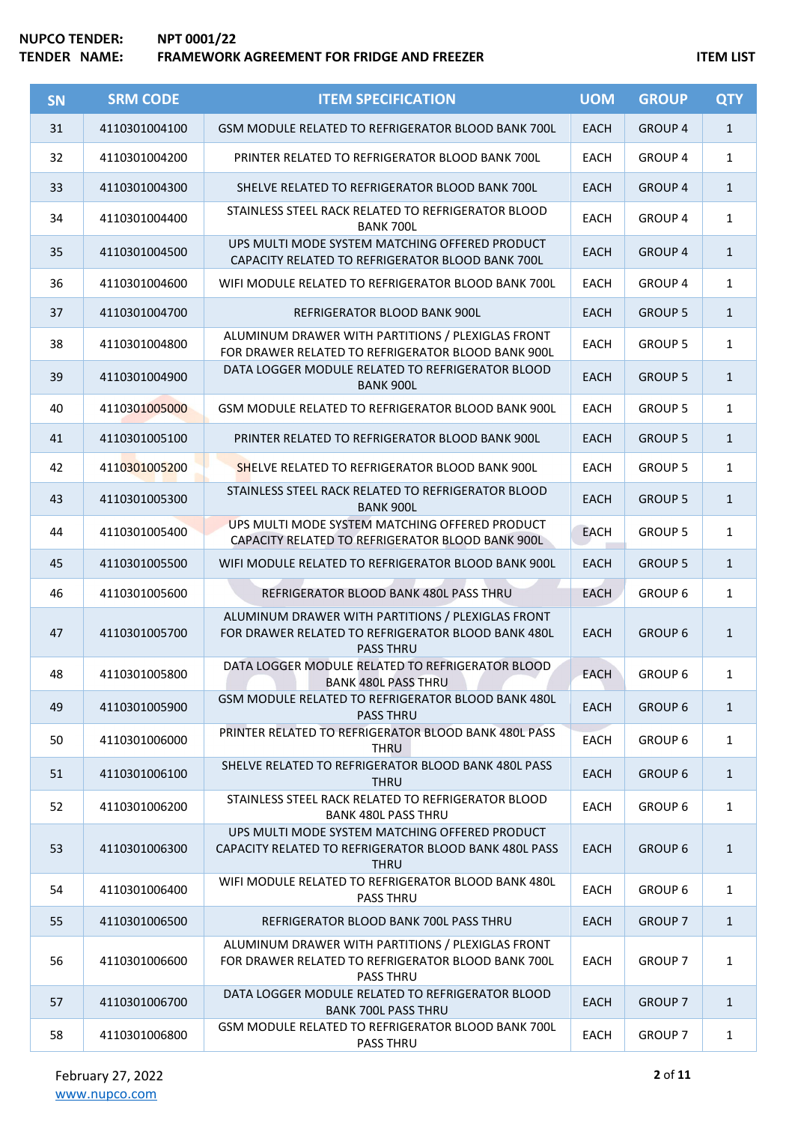| <b>SN</b> | <b>SRM CODE</b> | <b>ITEM SPECIFICATION</b>                                                                                                   | <b>UOM</b>  | <b>GROUP</b>   | <b>QTY</b>   |
|-----------|-----------------|-----------------------------------------------------------------------------------------------------------------------------|-------------|----------------|--------------|
| 31        | 4110301004100   | GSM MODULE RELATED TO REFRIGERATOR BLOOD BANK 700L                                                                          | <b>EACH</b> | <b>GROUP 4</b> | $\mathbf{1}$ |
| 32        | 4110301004200   | PRINTER RELATED TO REFRIGERATOR BLOOD BANK 700L                                                                             | <b>EACH</b> | <b>GROUP 4</b> | 1            |
| 33        | 4110301004300   | SHELVE RELATED TO REFRIGERATOR BLOOD BANK 700L                                                                              | <b>EACH</b> | <b>GROUP 4</b> | $\mathbf{1}$ |
| 34        | 4110301004400   | STAINLESS STEEL RACK RELATED TO REFRIGERATOR BLOOD<br><b>BANK 700L</b>                                                      | <b>EACH</b> | <b>GROUP 4</b> | $\mathbf{1}$ |
| 35        | 4110301004500   | UPS MULTI MODE SYSTEM MATCHING OFFERED PRODUCT<br>CAPACITY RELATED TO REFRIGERATOR BLOOD BANK 700L                          | <b>EACH</b> | <b>GROUP 4</b> | $\mathbf{1}$ |
| 36        | 4110301004600   | WIFI MODULE RELATED TO REFRIGERATOR BLOOD BANK 700L                                                                         | <b>EACH</b> | <b>GROUP 4</b> | $\mathbf{1}$ |
| 37        | 4110301004700   | REFRIGERATOR BLOOD BANK 900L                                                                                                | <b>EACH</b> | <b>GROUP 5</b> | $\mathbf{1}$ |
| 38        | 4110301004800   | ALUMINUM DRAWER WITH PARTITIONS / PLEXIGLAS FRONT<br>FOR DRAWER RELATED TO REFRIGERATOR BLOOD BANK 900L                     | <b>EACH</b> | <b>GROUP 5</b> | $\mathbf{1}$ |
| 39        | 4110301004900   | DATA LOGGER MODULE RELATED TO REFRIGERATOR BLOOD<br><b>BANK 900L</b>                                                        | <b>EACH</b> | <b>GROUP 5</b> | $\mathbf{1}$ |
| 40        | 4110301005000   | GSM MODULE RELATED TO REFRIGERATOR BLOOD BANK 900L                                                                          | <b>EACH</b> | <b>GROUP 5</b> | $\mathbf{1}$ |
| 41        | 4110301005100   | PRINTER RELATED TO REFRIGERATOR BLOOD BANK 900L                                                                             | <b>EACH</b> | <b>GROUP 5</b> | $\mathbf{1}$ |
| 42        | 4110301005200   | SHELVE RELATED TO REFRIGERATOR BLOOD BANK 900L                                                                              | <b>EACH</b> | <b>GROUP 5</b> | 1            |
| 43        | 4110301005300   | STAINLESS STEEL RACK RELATED TO REFRIGERATOR BLOOD<br><b>BANK 900L</b>                                                      | <b>EACH</b> | <b>GROUP 5</b> | $\mathbf{1}$ |
| 44        | 4110301005400   | UPS MULTI MODE SYSTEM MATCHING OFFERED PRODUCT<br>CAPACITY RELATED TO REFRIGERATOR BLOOD BANK 900L                          | <b>EACH</b> | <b>GROUP 5</b> | $\mathbf{1}$ |
| 45        | 4110301005500   | WIFI MODULE RELATED TO REFRIGERATOR BLOOD BANK 900L                                                                         | <b>EACH</b> | <b>GROUP 5</b> | $\mathbf{1}$ |
| 46        | 4110301005600   | REFRIGERATOR BLOOD BANK 480L PASS THRU                                                                                      | <b>EACH</b> | GROUP 6        | $\mathbf{1}$ |
| 47        | 4110301005700   | ALUMINUM DRAWER WITH PARTITIONS / PLEXIGLAS FRONT<br>FOR DRAWER RELATED TO REFRIGERATOR BLOOD BANK 480L<br><b>PASS THRU</b> | <b>EACH</b> | <b>GROUP 6</b> | $\mathbf{1}$ |
| 48        | 4110301005800   | DATA LOGGER MODULE RELATED TO REFRIGERATOR BLOOD<br><b>BANK 480L PASS THRU</b>                                              | EACH        | <b>GROUP 6</b> | $\mathbf{1}$ |
| 49        | 4110301005900   | GSM MODULE RELATED TO REFRIGERATOR BLOOD BANK 480L<br><b>PASS THRU</b>                                                      | <b>EACH</b> | <b>GROUP 6</b> | $\mathbf{1}$ |
| 50        | 4110301006000   | PRINTER RELATED TO REFRIGERATOR BLOOD BANK 480L PASS<br><b>THRU</b>                                                         | EACH        | <b>GROUP 6</b> | $\mathbf{1}$ |
| 51        | 4110301006100   | SHELVE RELATED TO REFRIGERATOR BLOOD BANK 480L PASS<br><b>THRU</b>                                                          | <b>EACH</b> | <b>GROUP 6</b> | $\mathbf{1}$ |
| 52        | 4110301006200   | STAINLESS STEEL RACK RELATED TO REFRIGERATOR BLOOD<br><b>BANK 480L PASS THRU</b>                                            | EACH        | <b>GROUP 6</b> | $\mathbf{1}$ |
| 53        | 4110301006300   | UPS MULTI MODE SYSTEM MATCHING OFFERED PRODUCT<br>CAPACITY RELATED TO REFRIGERATOR BLOOD BANK 480L PASS<br><b>THRU</b>      | <b>EACH</b> | <b>GROUP 6</b> | $\mathbf{1}$ |
| 54        | 4110301006400   | WIFI MODULE RELATED TO REFRIGERATOR BLOOD BANK 480L<br>PASS THRU                                                            | EACH        | <b>GROUP 6</b> | $\mathbf{1}$ |
| 55        | 4110301006500   | REFRIGERATOR BLOOD BANK 700L PASS THRU                                                                                      | <b>EACH</b> | <b>GROUP 7</b> | $\mathbf{1}$ |
| 56        | 4110301006600   | ALUMINUM DRAWER WITH PARTITIONS / PLEXIGLAS FRONT<br>FOR DRAWER RELATED TO REFRIGERATOR BLOOD BANK 700L<br>PASS THRU        | EACH        | <b>GROUP 7</b> | $\mathbf{1}$ |
| 57        | 4110301006700   | DATA LOGGER MODULE RELATED TO REFRIGERATOR BLOOD<br><b>BANK 700L PASS THRU</b>                                              | <b>EACH</b> | <b>GROUP 7</b> | $\mathbf{1}$ |
| 58        | 4110301006800   | GSM MODULE RELATED TO REFRIGERATOR BLOOD BANK 700L<br>PASS THRU                                                             | EACH        | <b>GROUP 7</b> | $\mathbf{1}$ |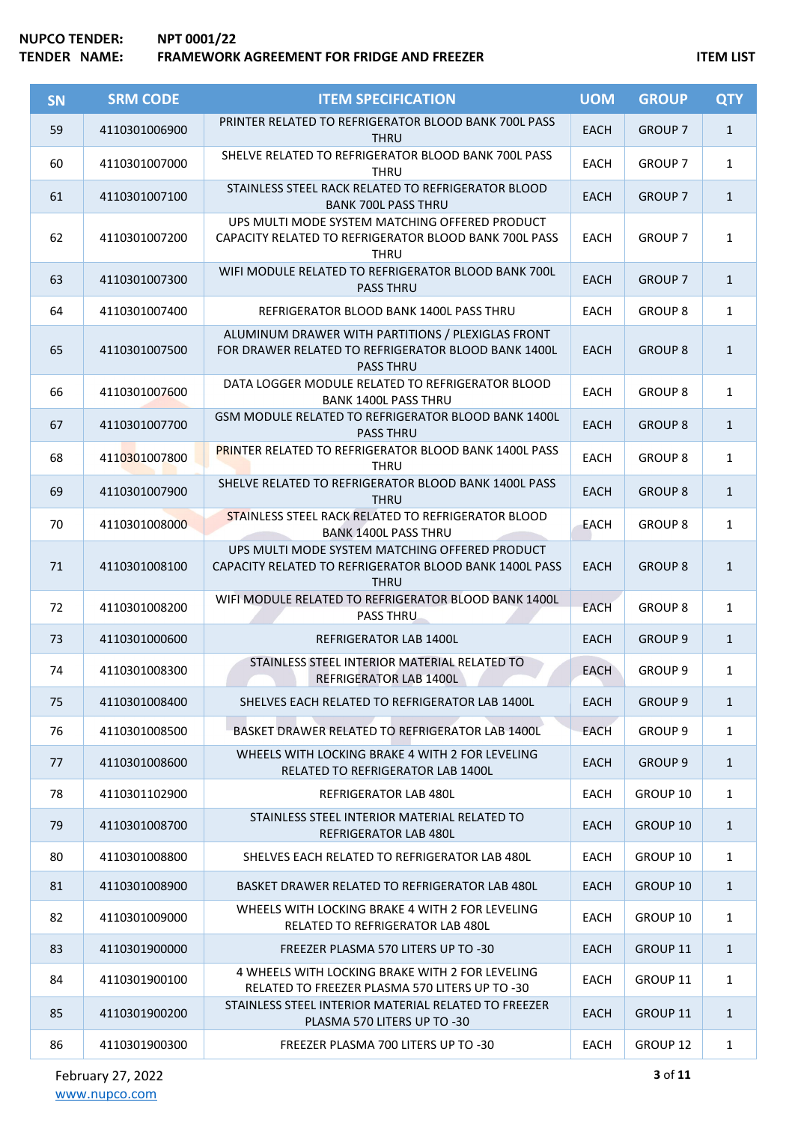| <b>SN</b> | <b>SRM CODE</b> | <b>ITEM SPECIFICATION</b>                                                                                                    | <b>UOM</b>  | <b>GROUP</b>       | <b>QTY</b>   |
|-----------|-----------------|------------------------------------------------------------------------------------------------------------------------------|-------------|--------------------|--------------|
| 59        | 4110301006900   | PRINTER RELATED TO REFRIGERATOR BLOOD BANK 700L PASS<br><b>THRU</b>                                                          | <b>EACH</b> | <b>GROUP 7</b>     | $\mathbf{1}$ |
| 60        | 4110301007000   | SHELVE RELATED TO REFRIGERATOR BLOOD BANK 700L PASS<br><b>THRU</b>                                                           | <b>EACH</b> | <b>GROUP 7</b>     | $\mathbf{1}$ |
| 61        | 4110301007100   | STAINLESS STEEL RACK RELATED TO REFRIGERATOR BLOOD<br><b>BANK 700L PASS THRU</b>                                             | <b>EACH</b> | <b>GROUP 7</b>     | $\mathbf{1}$ |
| 62        | 4110301007200   | UPS MULTI MODE SYSTEM MATCHING OFFERED PRODUCT<br>CAPACITY RELATED TO REFRIGERATOR BLOOD BANK 700L PASS<br>THRU              | EACH        | <b>GROUP 7</b>     | $\mathbf{1}$ |
| 63        | 4110301007300   | WIFI MODULE RELATED TO REFRIGERATOR BLOOD BANK 700L<br><b>PASS THRU</b>                                                      | <b>EACH</b> | <b>GROUP 7</b>     | $\mathbf{1}$ |
| 64        | 4110301007400   | REFRIGERATOR BLOOD BANK 1400L PASS THRU                                                                                      | <b>EACH</b> | <b>GROUP 8</b>     | $\mathbf{1}$ |
| 65        | 4110301007500   | ALUMINUM DRAWER WITH PARTITIONS / PLEXIGLAS FRONT<br>FOR DRAWER RELATED TO REFRIGERATOR BLOOD BANK 1400L<br><b>PASS THRU</b> | <b>EACH</b> | <b>GROUP 8</b>     | $\mathbf{1}$ |
| 66        | 4110301007600   | DATA LOGGER MODULE RELATED TO REFRIGERATOR BLOOD<br><b>BANK 1400L PASS THRU</b>                                              | <b>EACH</b> | <b>GROUP 8</b>     | $\mathbf{1}$ |
| 67        | 4110301007700   | GSM MODULE RELATED TO REFRIGERATOR BLOOD BANK 1400L<br><b>PASS THRU</b>                                                      | <b>EACH</b> | <b>GROUP 8</b>     | $\mathbf{1}$ |
| 68        | 4110301007800   | <b>PRINTER RELATED TO REFRIGERATOR BLOOD BANK 1400L PASS</b><br><b>THRU</b>                                                  | EACH        | <b>GROUP 8</b>     | $\mathbf{1}$ |
| 69        | 4110301007900   | SHELVE RELATED TO REFRIGERATOR BLOOD BANK 1400L PASS<br><b>THRU</b>                                                          | <b>EACH</b> | <b>GROUP 8</b>     | $\mathbf{1}$ |
| 70        | 4110301008000   | STAINLESS STEEL RACK RELATED TO REFRIGERATOR BLOOD<br><b>BANK 1400L PASS THRU</b>                                            | <b>EACH</b> | <b>GROUP 8</b>     | $\mathbf{1}$ |
| 71        | 4110301008100   | UPS MULTI MODE SYSTEM MATCHING OFFERED PRODUCT<br>CAPACITY RELATED TO REFRIGERATOR BLOOD BANK 1400L PASS<br><b>THRU</b>      | <b>EACH</b> | <b>GROUP 8</b>     | $\mathbf{1}$ |
| 72        | 4110301008200   | WIFI MODULE RELATED TO REFRIGERATOR BLOOD BANK 1400L<br><b>PASS THRU</b>                                                     | <b>EACH</b> | <b>GROUP 8</b>     | $\mathbf{1}$ |
| 73        | 4110301000600   | REFRIGERATOR LAB 1400L                                                                                                       | <b>EACH</b> | <b>GROUP 9</b>     | $\mathbf{1}$ |
| 74        | 4110301008300   | STAINLESS STEEL INTERIOR MATERIAL RELATED TO<br>REFRIGERATOR LAB 1400L                                                       | <b>EACH</b> | GROUP <sub>9</sub> | $\mathbf{1}$ |
| 75        | 4110301008400   | SHELVES EACH RELATED TO REFRIGERATOR LAB 1400L                                                                               | <b>EACH</b> | <b>GROUP 9</b>     | $\mathbf{1}$ |
| 76        | 4110301008500   | BASKET DRAWER RELATED TO REFRIGERATOR LAB 1400L                                                                              | <b>EACH</b> | GROUP <sub>9</sub> | $\mathbf{1}$ |
| 77        | 4110301008600   | WHEELS WITH LOCKING BRAKE 4 WITH 2 FOR LEVELING<br>RELATED TO REFRIGERATOR LAB 1400L                                         | <b>EACH</b> | <b>GROUP 9</b>     | $\mathbf{1}$ |
| 78        | 4110301102900   | REFRIGERATOR LAB 480L                                                                                                        | EACH        | GROUP 10           | $\mathbf{1}$ |
| 79        | 4110301008700   | STAINLESS STEEL INTERIOR MATERIAL RELATED TO<br><b>REFRIGERATOR LAB 480L</b>                                                 | <b>EACH</b> | GROUP 10           | $\mathbf{1}$ |
| 80        | 4110301008800   | SHELVES EACH RELATED TO REFRIGERATOR LAB 480L                                                                                | <b>EACH</b> | GROUP 10           | $\mathbf{1}$ |
| 81        | 4110301008900   | BASKET DRAWER RELATED TO REFRIGERATOR LAB 480L                                                                               | <b>EACH</b> | GROUP 10           | $\mathbf{1}$ |
| 82        | 4110301009000   | WHEELS WITH LOCKING BRAKE 4 WITH 2 FOR LEVELING<br>RELATED TO REFRIGERATOR LAB 480L                                          | <b>EACH</b> | GROUP 10           | $\mathbf{1}$ |
| 83        | 4110301900000   | FREEZER PLASMA 570 LITERS UP TO -30                                                                                          | <b>EACH</b> | GROUP 11           | $\mathbf{1}$ |
| 84        | 4110301900100   | 4 WHEELS WITH LOCKING BRAKE WITH 2 FOR LEVELING<br>RELATED TO FREEZER PLASMA 570 LITERS UP TO -30                            | EACH        | GROUP 11           | $\mathbf{1}$ |
| 85        | 4110301900200   | STAINLESS STEEL INTERIOR MATERIAL RELATED TO FREEZER<br>PLASMA 570 LITERS UP TO -30                                          | <b>EACH</b> | <b>GROUP 11</b>    | $\mathbf{1}$ |
| 86        | 4110301900300   | FREEZER PLASMA 700 LITERS UP TO -30                                                                                          | EACH        | GROUP 12           | $\mathbf{1}$ |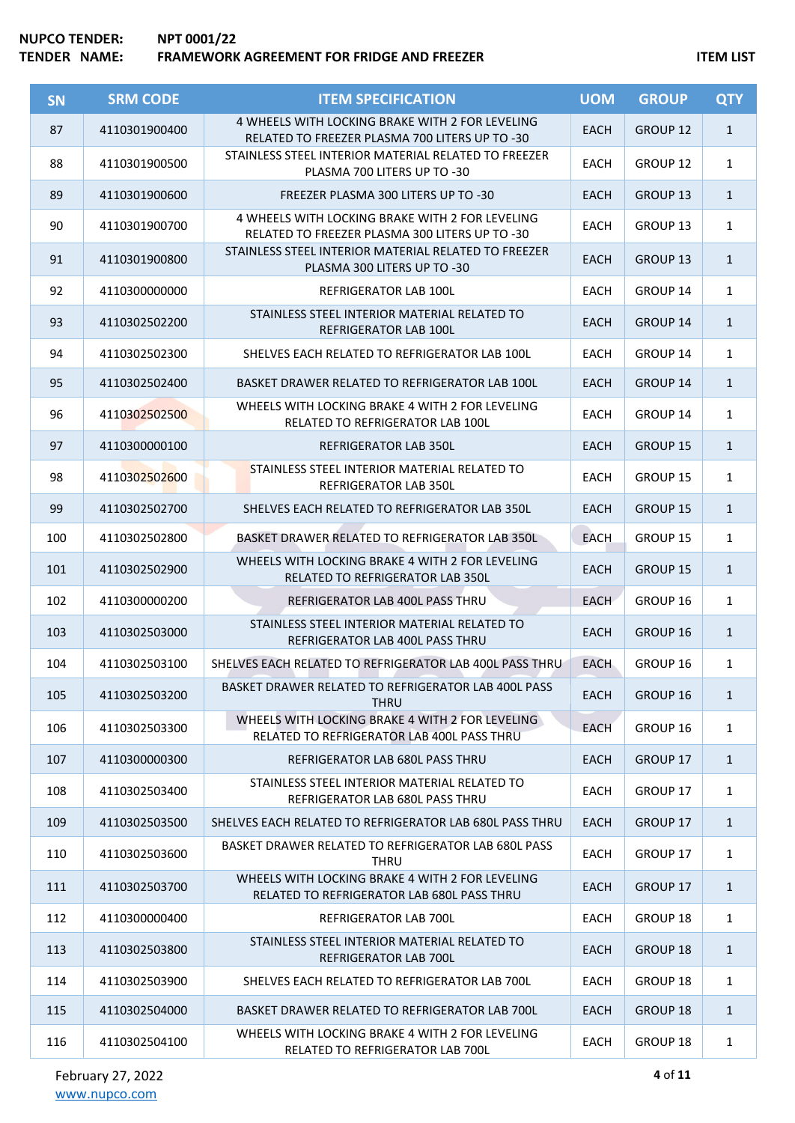| <b>SN</b> | <b>SRM CODE</b> | <b>ITEM SPECIFICATION</b>                                                                         | <b>UOM</b>  | <b>GROUP</b>        | <b>QTY</b>   |
|-----------|-----------------|---------------------------------------------------------------------------------------------------|-------------|---------------------|--------------|
| 87        | 4110301900400   | 4 WHEELS WITH LOCKING BRAKE WITH 2 FOR LEVELING<br>RELATED TO FREEZER PLASMA 700 LITERS UP TO -30 | <b>EACH</b> | GROUP <sub>12</sub> | $\mathbf{1}$ |
| 88        | 4110301900500   | STAINLESS STEEL INTERIOR MATERIAL RELATED TO FREEZER<br>PLASMA 700 LITERS UP TO -30               | <b>EACH</b> | GROUP 12            | $\mathbf{1}$ |
| 89        | 4110301900600   | FREEZER PLASMA 300 LITERS UP TO -30                                                               | <b>EACH</b> | GROUP 13            | $\mathbf{1}$ |
| 90        | 4110301900700   | 4 WHEELS WITH LOCKING BRAKE WITH 2 FOR LEVELING<br>RELATED TO FREEZER PLASMA 300 LITERS UP TO -30 | <b>EACH</b> | GROUP 13            | $\mathbf{1}$ |
| 91        | 4110301900800   | STAINLESS STEEL INTERIOR MATERIAL RELATED TO FREEZER<br>PLASMA 300 LITERS UP TO -30               | <b>EACH</b> | GROUP 13            | $\mathbf{1}$ |
| 92        | 4110300000000   | REFRIGERATOR LAB 100L                                                                             | <b>EACH</b> | GROUP 14            | $\mathbf{1}$ |
| 93        | 4110302502200   | STAINLESS STEEL INTERIOR MATERIAL RELATED TO<br>REFRIGERATOR LAB 100L                             | <b>EACH</b> | GROUP 14            | $\mathbf{1}$ |
| 94        | 4110302502300   | SHELVES EACH RELATED TO REFRIGERATOR LAB 100L                                                     | <b>EACH</b> | GROUP 14            | $\mathbf{1}$ |
| 95        | 4110302502400   | BASKET DRAWER RELATED TO REFRIGERATOR LAB 100L                                                    | <b>EACH</b> | GROUP 14            | $\mathbf{1}$ |
| 96        | 4110302502500   | WHEELS WITH LOCKING BRAKE 4 WITH 2 FOR LEVELING<br>RELATED TO REFRIGERATOR LAB 100L               | <b>EACH</b> | GROUP 14            | $\mathbf{1}$ |
| 97        | 4110300000100   | <b>REFRIGERATOR LAB 350L</b>                                                                      | <b>EACH</b> | <b>GROUP 15</b>     | $\mathbf{1}$ |
| 98        | 4110302502600   | STAINLESS STEEL INTERIOR MATERIAL RELATED TO<br><b>REFRIGERATOR LAB 350L</b>                      | EACH        | GROUP 15            | $\mathbf{1}$ |
| 99        | 4110302502700   | SHELVES EACH RELATED TO REFRIGERATOR LAB 350L                                                     | <b>EACH</b> | GROUP 15            | $\mathbf{1}$ |
| 100       | 4110302502800   | BASKET DRAWER RELATED TO REFRIGERATOR LAB 350L                                                    | <b>EACH</b> | GROUP 15            | $\mathbf{1}$ |
| 101       | 4110302502900   | WHEELS WITH LOCKING BRAKE 4 WITH 2 FOR LEVELING<br><b>RELATED TO REFRIGERATOR LAB 350L</b>        | <b>EACH</b> | <b>GROUP 15</b>     | $\mathbf{1}$ |
| 102       | 4110300000200   | REFRIGERATOR LAB 400L PASS THRU                                                                   | <b>EACH</b> | GROUP 16            | $\mathbf{1}$ |
| 103       | 4110302503000   | STAINLESS STEEL INTERIOR MATERIAL RELATED TO<br>REFRIGERATOR LAB 400L PASS THRU                   | <b>EACH</b> | GROUP 16            | $\mathbf{1}$ |
| 104       | 4110302503100   | SHELVES EACH RELATED TO REFRIGERATOR LAB 400L PASS THRU                                           | <b>EACH</b> | GROUP 16            | $\mathbf{1}$ |
| 105       | 4110302503200   | BASKET DRAWER RELATED TO REFRIGERATOR LAB 400L PASS<br><b>THRU</b>                                | <b>EACH</b> | GROUP 16            | $\mathbf{1}$ |
| 106       | 4110302503300   | WHEELS WITH LOCKING BRAKE 4 WITH 2 FOR LEVELING<br>RELATED TO REFRIGERATOR LAB 400L PASS THRU     | <b>EACH</b> | GROUP 16            | $\mathbf{1}$ |
| 107       | 4110300000300   | REFRIGERATOR LAB 680L PASS THRU                                                                   | <b>EACH</b> | GROUP 17            | $\mathbf{1}$ |
| 108       | 4110302503400   | STAINLESS STEEL INTERIOR MATERIAL RELATED TO<br>REFRIGERATOR LAB 680L PASS THRU                   | <b>EACH</b> | GROUP 17            | $\mathbf{1}$ |
| 109       | 4110302503500   | SHELVES EACH RELATED TO REFRIGERATOR LAB 680L PASS THRU                                           | <b>EACH</b> | GROUP 17            | $\mathbf{1}$ |
| 110       | 4110302503600   | BASKET DRAWER RELATED TO REFRIGERATOR LAB 680L PASS<br><b>THRU</b>                                | <b>EACH</b> | GROUP 17            | $\mathbf{1}$ |
| 111       | 4110302503700   | WHEELS WITH LOCKING BRAKE 4 WITH 2 FOR LEVELING<br>RELATED TO REFRIGERATOR LAB 680L PASS THRU     | <b>EACH</b> | GROUP 17            | $\mathbf{1}$ |
| 112       | 4110300000400   | REFRIGERATOR LAB 700L                                                                             | <b>EACH</b> | GROUP 18            | $\mathbf{1}$ |
| 113       | 4110302503800   | STAINLESS STEEL INTERIOR MATERIAL RELATED TO<br>REFRIGERATOR LAB 700L                             | <b>EACH</b> | <b>GROUP 18</b>     | $\mathbf{1}$ |
| 114       | 4110302503900   | SHELVES EACH RELATED TO REFRIGERATOR LAB 700L                                                     | <b>EACH</b> | GROUP 18            | $\mathbf{1}$ |
| 115       | 4110302504000   | BASKET DRAWER RELATED TO REFRIGERATOR LAB 700L                                                    | <b>EACH</b> | GROUP 18            | $\mathbf{1}$ |
| 116       | 4110302504100   | WHEELS WITH LOCKING BRAKE 4 WITH 2 FOR LEVELING<br>RELATED TO REFRIGERATOR LAB 700L               | <b>EACH</b> | GROUP 18            | $\mathbf{1}$ |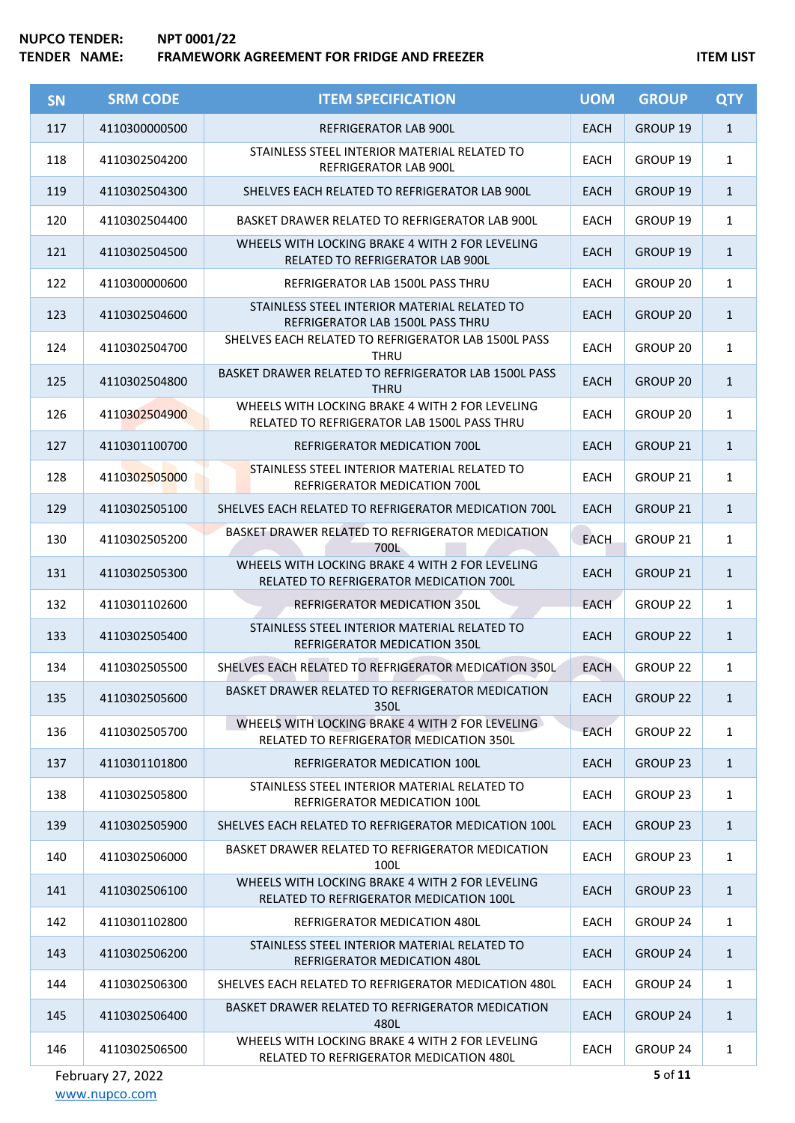| <b>SN</b> | <b>SRM CODE</b> | <b>ITEM SPECIFICATION</b>                                                                      | <b>UOM</b>  | <b>GROUP</b>        | <b>QTY</b>   |
|-----------|-----------------|------------------------------------------------------------------------------------------------|-------------|---------------------|--------------|
| 117       | 4110300000500   | <b>REFRIGERATOR LAB 900L</b>                                                                   | <b>EACH</b> | GROUP 19            | $\mathbf{1}$ |
| 118       | 4110302504200   | STAINLESS STEEL INTERIOR MATERIAL RELATED TO<br>REFRIGERATOR LAB 900L                          | <b>EACH</b> | GROUP 19            | $\mathbf{1}$ |
| 119       | 4110302504300   | SHELVES EACH RELATED TO REFRIGERATOR LAB 900L                                                  | <b>EACH</b> | GROUP 19            | $\mathbf{1}$ |
| 120       | 4110302504400   | BASKET DRAWER RELATED TO REFRIGERATOR LAB 900L                                                 | <b>EACH</b> | GROUP 19            | $\mathbf{1}$ |
| 121       | 4110302504500   | WHEELS WITH LOCKING BRAKE 4 WITH 2 FOR LEVELING<br><b>RELATED TO REFRIGERATOR LAB 900L</b>     | <b>EACH</b> | GROUP 19            | $\mathbf{1}$ |
| 122       | 4110300000600   | REFRIGERATOR LAB 1500L PASS THRU                                                               | <b>EACH</b> | GROUP 20            | $\mathbf{1}$ |
| 123       | 4110302504600   | STAINLESS STEEL INTERIOR MATERIAL RELATED TO<br>REFRIGERATOR LAB 1500L PASS THRU               | <b>EACH</b> | GROUP 20            | $\mathbf{1}$ |
| 124       | 4110302504700   | SHELVES EACH RELATED TO REFRIGERATOR LAB 1500L PASS<br><b>THRU</b>                             | <b>EACH</b> | GROUP 20            | $\mathbf{1}$ |
| 125       | 4110302504800   | BASKET DRAWER RELATED TO REFRIGERATOR LAB 1500L PASS<br><b>THRU</b>                            | <b>EACH</b> | GROUP 20            | $\mathbf{1}$ |
| 126       | 4110302504900   | WHEELS WITH LOCKING BRAKE 4 WITH 2 FOR LEVELING<br>RELATED TO REFRIGERATOR LAB 1500L PASS THRU | <b>EACH</b> | GROUP 20            | $\mathbf{1}$ |
| 127       | 4110301100700   | REFRIGERATOR MEDICATION 700L                                                                   | <b>EACH</b> | GROUP 21            | $\mathbf{1}$ |
| 128       | 4110302505000   | STAINLESS STEEL INTERIOR MATERIAL RELATED TO<br>REFRIGERATOR MEDICATION 700L                   | <b>EACH</b> | GROUP 21            | $\mathbf{1}$ |
| 129       | 4110302505100   | SHELVES EACH RELATED TO REFRIGERATOR MEDICATION 700L                                           | <b>EACH</b> | GROUP 21            | $\mathbf{1}$ |
| 130       | 4110302505200   | BASKET DRAWER RELATED TO REFRIGERATOR MEDICATION<br>700L                                       | <b>EACH</b> | GROUP 21            | $\mathbf{1}$ |
| 131       | 4110302505300   | WHEELS WITH LOCKING BRAKE 4 WITH 2 FOR LEVELING<br>RELATED TO REFRIGERATOR MEDICATION 700L     | <b>EACH</b> | GROUP 21            | $\mathbf{1}$ |
| 132       | 4110301102600   | <b>REFRIGERATOR MEDICATION 350L</b>                                                            | <b>EACH</b> | GROUP 22            | $\mathbf{1}$ |
| 133       | 4110302505400   | STAINLESS STEEL INTERIOR MATERIAL RELATED TO<br><b>REFRIGERATOR MEDICATION 350L</b>            | <b>EACH</b> | <b>GROUP 22</b>     | $\mathbf{1}$ |
| 134       | 4110302505500   | SHELVES EACH RELATED TO REFRIGERATOR MEDICATION 350L                                           | <b>EACH</b> | GROUP <sub>22</sub> | $\mathbf{1}$ |
| 135       | 4110302505600   | BASKET DRAWER RELATED TO REFRIGERATOR MEDICATION<br>350L                                       | <b>EACH</b> | <b>GROUP 22</b>     | $\mathbf{1}$ |
| 136       | 4110302505700   | WHEELS WITH LOCKING BRAKE 4 WITH 2 FOR LEVELING<br>RELATED TO REFRIGERATOR MEDICATION 350L     | <b>EACH</b> | GROUP 22            | $\mathbf{1}$ |
| 137       | 4110301101800   | <b>REFRIGERATOR MEDICATION 100L</b>                                                            | <b>EACH</b> | GROUP 23            | $\mathbf{1}$ |
| 138       | 4110302505800   | STAINLESS STEEL INTERIOR MATERIAL RELATED TO<br>REFRIGERATOR MEDICATION 100L                   | <b>EACH</b> | GROUP 23            | $\mathbf{1}$ |
| 139       | 4110302505900   | SHELVES EACH RELATED TO REFRIGERATOR MEDICATION 100L                                           | <b>EACH</b> | <b>GROUP 23</b>     | $\mathbf{1}$ |
| 140       | 4110302506000   | BASKET DRAWER RELATED TO REFRIGERATOR MEDICATION<br>100L                                       | <b>EACH</b> | GROUP 23            | $\mathbf{1}$ |
| 141       | 4110302506100   | WHEELS WITH LOCKING BRAKE 4 WITH 2 FOR LEVELING<br>RELATED TO REFRIGERATOR MEDICATION 100L     | <b>EACH</b> | GROUP <sub>23</sub> | $\mathbf{1}$ |
| 142       | 4110301102800   | REFRIGERATOR MEDICATION 480L                                                                   | <b>EACH</b> | GROUP 24            | $\mathbf{1}$ |
| 143       | 4110302506200   | STAINLESS STEEL INTERIOR MATERIAL RELATED TO<br>REFRIGERATOR MEDICATION 480L                   | <b>EACH</b> | <b>GROUP 24</b>     | $\mathbf{1}$ |
| 144       | 4110302506300   | SHELVES EACH RELATED TO REFRIGERATOR MEDICATION 480L                                           | <b>EACH</b> | GROUP 24            | $\mathbf{1}$ |
| 145       | 4110302506400   | BASKET DRAWER RELATED TO REFRIGERATOR MEDICATION<br>480L                                       | <b>EACH</b> | GROUP 24            | $\mathbf{1}$ |
| 146       | 4110302506500   | WHEELS WITH LOCKING BRAKE 4 WITH 2 FOR LEVELING<br>RELATED TO REFRIGERATOR MEDICATION 480L     | EACH        | GROUP 24            | $\mathbf{1}$ |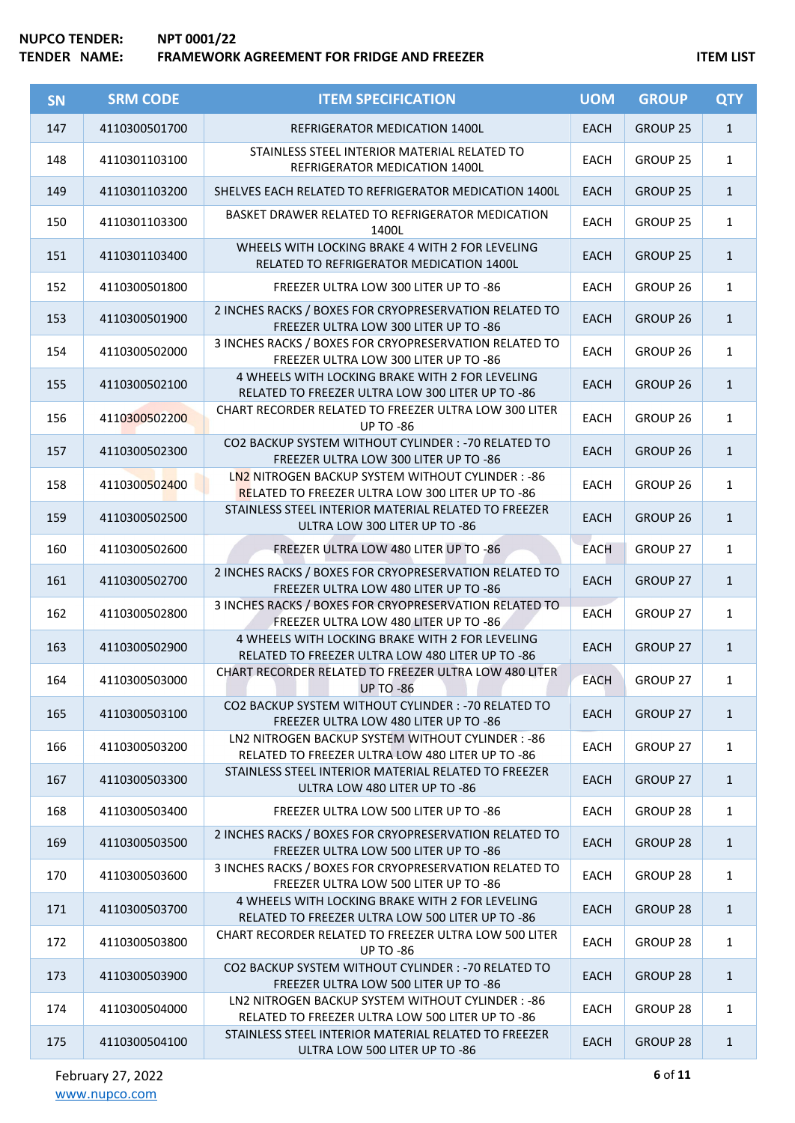| SN  | <b>SRM CODE</b> | <b>ITEM SPECIFICATION</b>                                                                                    | <b>UOM</b>  | <b>GROUP</b>        | <b>QTY</b>   |
|-----|-----------------|--------------------------------------------------------------------------------------------------------------|-------------|---------------------|--------------|
| 147 | 4110300501700   | <b>REFRIGERATOR MEDICATION 1400L</b>                                                                         | <b>EACH</b> | GROUP 25            | $\mathbf{1}$ |
| 148 | 4110301103100   | STAINLESS STEEL INTERIOR MATERIAL RELATED TO<br>REFRIGERATOR MEDICATION 1400L                                | <b>EACH</b> | GROUP 25            | $\mathbf{1}$ |
| 149 | 4110301103200   | SHELVES EACH RELATED TO REFRIGERATOR MEDICATION 1400L                                                        | <b>EACH</b> | GROUP 25            | $\mathbf{1}$ |
| 150 | 4110301103300   | BASKET DRAWER RELATED TO REFRIGERATOR MEDICATION<br>1400L                                                    | <b>EACH</b> | GROUP 25            | $\mathbf{1}$ |
| 151 | 4110301103400   | WHEELS WITH LOCKING BRAKE 4 WITH 2 FOR LEVELING<br>RELATED TO REFRIGERATOR MEDICATION 1400L                  | <b>EACH</b> | GROUP 25            | $\mathbf{1}$ |
| 152 | 4110300501800   | FREEZER ULTRA LOW 300 LITER UP TO -86                                                                        | EACH        | GROUP 26            | $\mathbf{1}$ |
| 153 | 4110300501900   | 2 INCHES RACKS / BOXES FOR CRYOPRESERVATION RELATED TO<br>FREEZER ULTRA LOW 300 LITER UP TO -86              | <b>EACH</b> | GROUP 26            | $\mathbf{1}$ |
| 154 | 4110300502000   | 3 INCHES RACKS / BOXES FOR CRYOPRESERVATION RELATED TO<br>FREEZER ULTRA LOW 300 LITER UP TO -86              | EACH        | GROUP <sub>26</sub> | $\mathbf{1}$ |
| 155 | 4110300502100   | 4 WHEELS WITH LOCKING BRAKE WITH 2 FOR LEVELING<br>RELATED TO FREEZER ULTRA LOW 300 LITER UP TO -86          | <b>EACH</b> | GROUP 26            | $\mathbf{1}$ |
| 156 | 4110300502200   | CHART RECORDER RELATED TO FREEZER ULTRA LOW 300 LITER<br><b>UP TO -86</b>                                    | <b>EACH</b> | GROUP <sub>26</sub> | $\mathbf{1}$ |
| 157 | 4110300502300   | CO2 BACKUP SYSTEM WITHOUT CYLINDER: - 70 RELATED TO<br>FREEZER ULTRA LOW 300 LITER UP TO -86                 | <b>EACH</b> | GROUP <sub>26</sub> | $\mathbf{1}$ |
| 158 | 4110300502400   | LN2 NITROGEN BACKUP SYSTEM WITHOUT CYLINDER: - 86<br><b>RELATED TO FREEZER ULTRA LOW 300 LITER UP TO -86</b> | EACH        | GROUP 26            | $\mathbf{1}$ |
| 159 | 4110300502500   | STAINLESS STEEL INTERIOR MATERIAL RELATED TO FREEZER<br>ULTRA LOW 300 LITER UP TO -86                        | <b>EACH</b> | GROUP <sub>26</sub> | $\mathbf{1}$ |
| 160 | 4110300502600   | FREEZER ULTRA LOW 480 LITER UP TO -86                                                                        | <b>EACH</b> | GROUP 27            | $\mathbf{1}$ |
| 161 | 4110300502700   | 2 INCHES RACKS / BOXES FOR CRYOPRESERVATION RELATED TO<br>FREEZER ULTRA LOW 480 LITER UP TO -86              | <b>EACH</b> | GROUP 27            | $\mathbf{1}$ |
| 162 | 4110300502800   | 3 INCHES RACKS / BOXES FOR CRYOPRESERVATION RELATED TO<br>FREEZER ULTRA LOW 480 LITER UP TO -86              | EACH        | GROUP 27            | $\mathbf{1}$ |
| 163 | 4110300502900   | 4 WHEELS WITH LOCKING BRAKE WITH 2 FOR LEVELING<br>RELATED TO FREEZER ULTRA LOW 480 LITER UP TO -86          | <b>EACH</b> | GROUP 27            | $\mathbf{1}$ |
| 164 | 4110300503000   | CHART RECORDER RELATED TO FREEZER ULTRA LOW 480 LITER<br><b>UP TO -86</b>                                    | <b>EACH</b> | GROUP 27            | 1            |
| 165 | 4110300503100   | CO2 BACKUP SYSTEM WITHOUT CYLINDER: - 70 RELATED TO<br>FREEZER ULTRA LOW 480 LITER UP TO -86                 | <b>EACH</b> | GROUP 27            | $\mathbf{1}$ |
| 166 | 4110300503200   | LN2 NITROGEN BACKUP SYSTEM WITHOUT CYLINDER : - 86<br>RELATED TO FREEZER ULTRA LOW 480 LITER UP TO -86       | EACH        | GROUP 27            | $\mathbf{1}$ |
| 167 | 4110300503300   | STAINLESS STEEL INTERIOR MATERIAL RELATED TO FREEZER<br>ULTRA LOW 480 LITER UP TO -86                        | <b>EACH</b> | GROUP 27            | $\mathbf{1}$ |
| 168 | 4110300503400   | FREEZER ULTRA LOW 500 LITER UP TO -86                                                                        | EACH        | GROUP 28            | $\mathbf{1}$ |
| 169 | 4110300503500   | 2 INCHES RACKS / BOXES FOR CRYOPRESERVATION RELATED TO<br>FREEZER ULTRA LOW 500 LITER UP TO -86              | <b>EACH</b> | <b>GROUP 28</b>     | $\mathbf{1}$ |
| 170 | 4110300503600   | 3 INCHES RACKS / BOXES FOR CRYOPRESERVATION RELATED TO<br>FREEZER ULTRA LOW 500 LITER UP TO -86              | EACH        | GROUP 28            | $\mathbf{1}$ |
| 171 | 4110300503700   | 4 WHEELS WITH LOCKING BRAKE WITH 2 FOR LEVELING<br>RELATED TO FREEZER ULTRA LOW 500 LITER UP TO -86          | <b>EACH</b> | GROUP 28            | $\mathbf{1}$ |
| 172 | 4110300503800   | CHART RECORDER RELATED TO FREEZER ULTRA LOW 500 LITER<br><b>UP TO -86</b>                                    | <b>EACH</b> | GROUP 28            | $\mathbf{1}$ |
| 173 | 4110300503900   | CO2 BACKUP SYSTEM WITHOUT CYLINDER: - 70 RELATED TO<br>FREEZER ULTRA LOW 500 LITER UP TO -86                 | <b>EACH</b> | <b>GROUP 28</b>     | $\mathbf{1}$ |
| 174 | 4110300504000   | LN2 NITROGEN BACKUP SYSTEM WITHOUT CYLINDER: - 86<br>RELATED TO FREEZER ULTRA LOW 500 LITER UP TO -86        | EACH        | GROUP 28            | $\mathbf{1}$ |
| 175 | 4110300504100   | STAINLESS STEEL INTERIOR MATERIAL RELATED TO FREEZER<br>ULTRA LOW 500 LITER UP TO -86                        | <b>EACH</b> | GROUP 28            | $\mathbf{1}$ |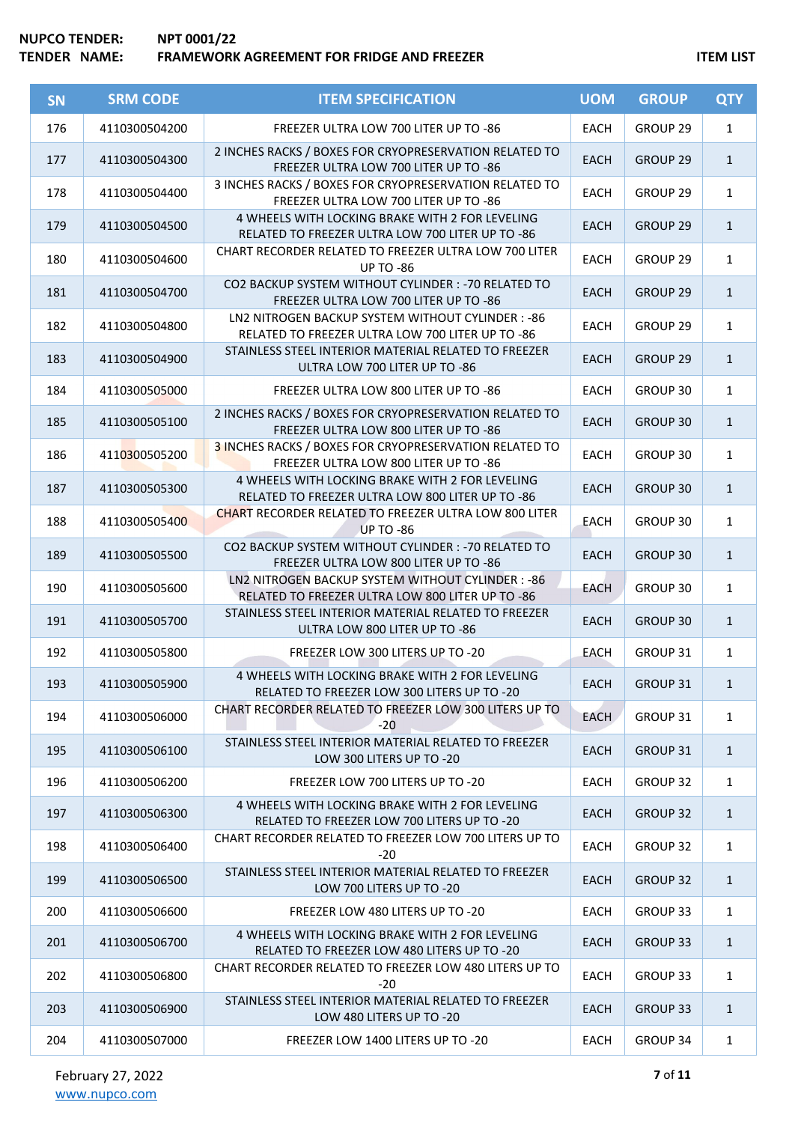| <b>SN</b> | <b>SRM CODE</b> | <b>ITEM SPECIFICATION</b>                                                                              | <b>UOM</b>  | <b>GROUP</b>        | <b>QTY</b>   |
|-----------|-----------------|--------------------------------------------------------------------------------------------------------|-------------|---------------------|--------------|
| 176       | 4110300504200   | FREEZER ULTRA LOW 700 LITER UP TO -86                                                                  | <b>EACH</b> | GROUP 29            | $\mathbf{1}$ |
| 177       | 4110300504300   | 2 INCHES RACKS / BOXES FOR CRYOPRESERVATION RELATED TO<br>FREEZER ULTRA LOW 700 LITER UP TO -86        | <b>EACH</b> | GROUP 29            | $\mathbf{1}$ |
| 178       | 4110300504400   | 3 INCHES RACKS / BOXES FOR CRYOPRESERVATION RELATED TO<br>FREEZER ULTRA LOW 700 LITER UP TO -86        | <b>EACH</b> | GROUP 29            | $\mathbf{1}$ |
| 179       | 4110300504500   | 4 WHEELS WITH LOCKING BRAKE WITH 2 FOR LEVELING<br>RELATED TO FREEZER ULTRA LOW 700 LITER UP TO -86    | <b>EACH</b> | GROUP <sub>29</sub> | $\mathbf{1}$ |
| 180       | 4110300504600   | CHART RECORDER RELATED TO FREEZER ULTRA LOW 700 LITER<br><b>UP TO -86</b>                              | <b>EACH</b> | GROUP 29            | $\mathbf{1}$ |
| 181       | 4110300504700   | CO2 BACKUP SYSTEM WITHOUT CYLINDER : - 70 RELATED TO<br>FREEZER ULTRA LOW 700 LITER UP TO -86          | <b>EACH</b> | GROUP 29            | $\mathbf{1}$ |
| 182       | 4110300504800   | LN2 NITROGEN BACKUP SYSTEM WITHOUT CYLINDER : - 86<br>RELATED TO FREEZER ULTRA LOW 700 LITER UP TO -86 | <b>EACH</b> | GROUP 29            | $\mathbf{1}$ |
| 183       | 4110300504900   | STAINLESS STEEL INTERIOR MATERIAL RELATED TO FREEZER<br>ULTRA LOW 700 LITER UP TO -86                  | <b>EACH</b> | GROUP 29            | $\mathbf{1}$ |
| 184       | 4110300505000   | FREEZER ULTRA LOW 800 LITER UP TO -86                                                                  | <b>EACH</b> | GROUP 30            | $\mathbf{1}$ |
| 185       | 4110300505100   | 2 INCHES RACKS / BOXES FOR CRYOPRESERVATION RELATED TO<br>FREEZER ULTRA LOW 800 LITER UP TO -86        | <b>EACH</b> | GROUP 30            | $\mathbf{1}$ |
| 186       | 4110300505200   | 3 INCHES RACKS / BOXES FOR CRYOPRESERVATION RELATED TO<br>FREEZER ULTRA LOW 800 LITER UP TO -86        | EACH        | GROUP 30            | $\mathbf{1}$ |
| 187       | 4110300505300   | 4 WHEELS WITH LOCKING BRAKE WITH 2 FOR LEVELING<br>RELATED TO FREEZER ULTRA LOW 800 LITER UP TO -86    | <b>EACH</b> | GROUP 30            | $\mathbf{1}$ |
| 188       | 4110300505400   | <b>CHART RECORDER RELATED TO FREEZER ULTRA LOW 800 LITER</b><br><b>UP TO -86</b>                       | <b>EACH</b> | GROUP 30            | $\mathbf{1}$ |
| 189       | 4110300505500   | CO2 BACKUP SYSTEM WITHOUT CYLINDER : - 70 RELATED TO<br>FREEZER ULTRA LOW 800 LITER UP TO -86          | <b>EACH</b> | GROUP 30            | $\mathbf{1}$ |
| 190       | 4110300505600   | LN2 NITROGEN BACKUP SYSTEM WITHOUT CYLINDER : - 86<br>RELATED TO FREEZER ULTRA LOW 800 LITER UP TO -86 | <b>EACH</b> | GROUP 30            | $\mathbf{1}$ |
| 191       | 4110300505700   | STAINLESS STEEL INTERIOR MATERIAL RELATED TO FREEZER<br>ULTRA LOW 800 LITER UP TO -86                  | <b>EACH</b> | GROUP 30            | $\mathbf{1}$ |
| 192       | 4110300505800   | FREEZER LOW 300 LITERS UP TO -20                                                                       | EACH        | GROUP 31            | $\mathbf{1}$ |
| 193       | 4110300505900   | 4 WHEELS WITH LOCKING BRAKE WITH 2 FOR LEVELING<br>RELATED TO FREEZER LOW 300 LITERS UP TO -20         | EACH        | GROUP 31            | 1            |
| 194       | 4110300506000   | CHART RECORDER RELATED TO FREEZER LOW 300 LITERS UP TO<br>$-20$                                        | <b>EACH</b> | GROUP 31            | $\mathbf{1}$ |
| 195       | 4110300506100   | STAINLESS STEEL INTERIOR MATERIAL RELATED TO FREEZER<br>LOW 300 LITERS UP TO -20                       | <b>EACH</b> | GROUP 31            | $\mathbf{1}$ |
| 196       | 4110300506200   | FREEZER LOW 700 LITERS UP TO -20                                                                       | <b>EACH</b> | GROUP 32            | $\mathbf{1}$ |
| 197       | 4110300506300   | 4 WHEELS WITH LOCKING BRAKE WITH 2 FOR LEVELING<br>RELATED TO FREEZER LOW 700 LITERS UP TO -20         | <b>EACH</b> | GROUP 32            | $\mathbf{1}$ |
| 198       | 4110300506400   | CHART RECORDER RELATED TO FREEZER LOW 700 LITERS UP TO<br>-20                                          | <b>EACH</b> | GROUP 32            | $\mathbf{1}$ |
| 199       | 4110300506500   | STAINLESS STEEL INTERIOR MATERIAL RELATED TO FREEZER<br>LOW 700 LITERS UP TO -20                       | <b>EACH</b> | <b>GROUP 32</b>     | $\mathbf{1}$ |
| 200       | 4110300506600   | FREEZER LOW 480 LITERS UP TO -20                                                                       | <b>EACH</b> | GROUP 33            | $\mathbf{1}$ |
| 201       | 4110300506700   | 4 WHEELS WITH LOCKING BRAKE WITH 2 FOR LEVELING<br>RELATED TO FREEZER LOW 480 LITERS UP TO -20         | <b>EACH</b> | <b>GROUP 33</b>     | $\mathbf{1}$ |
| 202       | 4110300506800   | CHART RECORDER RELATED TO FREEZER LOW 480 LITERS UP TO<br>$-20$                                        | <b>EACH</b> | GROUP 33            | $\mathbf{1}$ |
| 203       | 4110300506900   | STAINLESS STEEL INTERIOR MATERIAL RELATED TO FREEZER<br>LOW 480 LITERS UP TO -20                       | <b>EACH</b> | <b>GROUP 33</b>     | $\mathbf{1}$ |
| 204       | 4110300507000   | FREEZER LOW 1400 LITERS UP TO -20                                                                      | EACH        | GROUP 34            | $\mathbf{1}$ |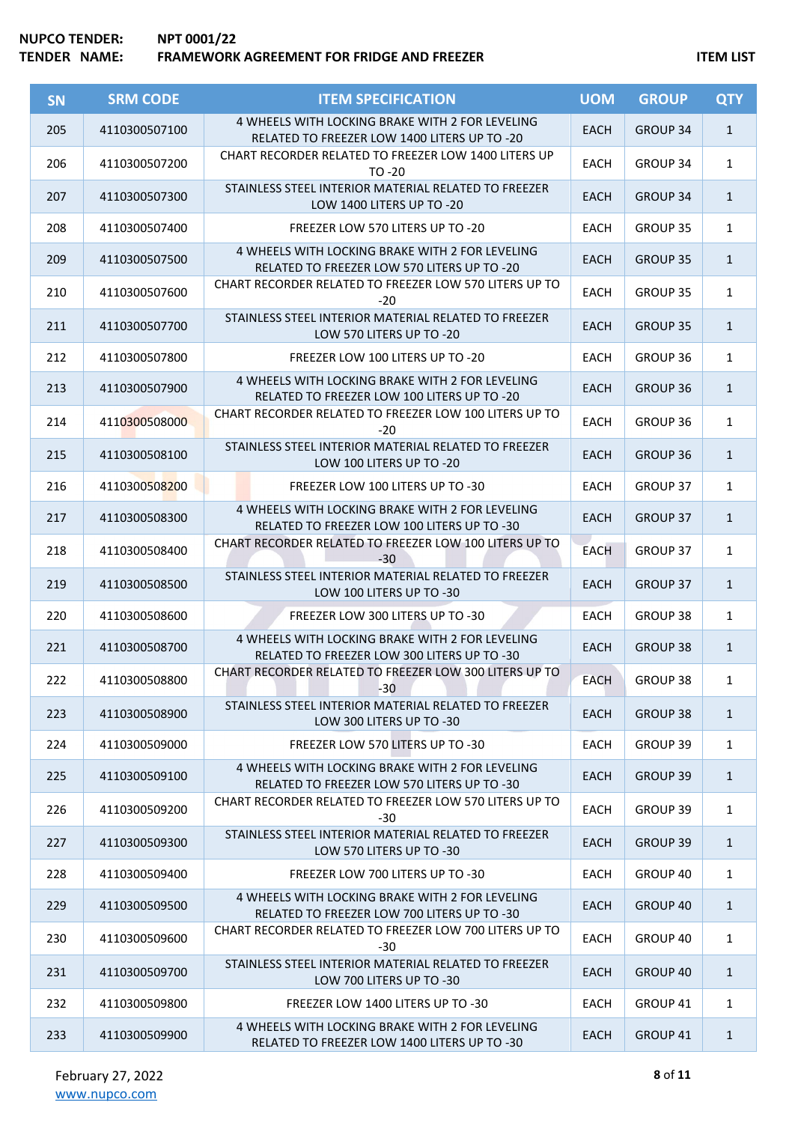| <b>SN</b> | <b>SRM CODE</b> | <b>ITEM SPECIFICATION</b>                                                                       | <b>UOM</b>  | <b>GROUP</b>    | <b>QTY</b>   |
|-----------|-----------------|-------------------------------------------------------------------------------------------------|-------------|-----------------|--------------|
| 205       | 4110300507100   | 4 WHEELS WITH LOCKING BRAKE WITH 2 FOR LEVELING<br>RELATED TO FREEZER LOW 1400 LITERS UP TO -20 | <b>EACH</b> | GROUP 34        | $\mathbf{1}$ |
| 206       | 4110300507200   | <b>CHART RECORDER RELATED TO FREEZER LOW 1400 LITERS UP</b><br>$TO - 20$                        | EACH        | GROUP 34        | $\mathbf{1}$ |
| 207       | 4110300507300   | STAINLESS STEEL INTERIOR MATERIAL RELATED TO FREEZER<br>LOW 1400 LITERS UP TO -20               | <b>EACH</b> | <b>GROUP 34</b> | $\mathbf{1}$ |
| 208       | 4110300507400   | FREEZER LOW 570 LITERS UP TO -20                                                                | <b>EACH</b> | GROUP 35        | $\mathbf{1}$ |
| 209       | 4110300507500   | 4 WHEELS WITH LOCKING BRAKE WITH 2 FOR LEVELING<br>RELATED TO FREEZER LOW 570 LITERS UP TO -20  | <b>EACH</b> | <b>GROUP 35</b> | $\mathbf{1}$ |
| 210       | 4110300507600   | CHART RECORDER RELATED TO FREEZER LOW 570 LITERS UP TO<br>$-20$                                 | <b>EACH</b> | GROUP 35        | $\mathbf{1}$ |
| 211       | 4110300507700   | STAINLESS STEEL INTERIOR MATERIAL RELATED TO FREEZER<br>LOW 570 LITERS UP TO -20                | <b>EACH</b> | <b>GROUP 35</b> | $\mathbf{1}$ |
| 212       | 4110300507800   | FREEZER LOW 100 LITERS UP TO -20                                                                | EACH        | GROUP 36        | $\mathbf{1}$ |
| 213       | 4110300507900   | 4 WHEELS WITH LOCKING BRAKE WITH 2 FOR LEVELING<br>RELATED TO FREEZER LOW 100 LITERS UP TO -20  | <b>EACH</b> | GROUP 36        | $\mathbf{1}$ |
| 214       | 4110300508000   | CHART RECORDER RELATED TO FREEZER LOW 100 LITERS UP TO<br>$-20$                                 | <b>EACH</b> | GROUP 36        | $\mathbf{1}$ |
| 215       | 4110300508100   | STAINLESS STEEL INTERIOR MATERIAL RELATED TO FREEZER<br>LOW 100 LITERS UP TO -20                | <b>EACH</b> | GROUP 36        | $\mathbf{1}$ |
| 216       | 4110300508200   | FREEZER LOW 100 LITERS UP TO -30                                                                | <b>EACH</b> | GROUP 37        | $\mathbf{1}$ |
| 217       | 4110300508300   | 4 WHEELS WITH LOCKING BRAKE WITH 2 FOR LEVELING<br>RELATED TO FREEZER LOW 100 LITERS UP TO -30  | <b>EACH</b> | <b>GROUP 37</b> | $\mathbf{1}$ |
| 218       | 4110300508400   | CHART RECORDER RELATED TO FREEZER LOW 100 LITERS UP TO<br>$-30$                                 | <b>EACH</b> | GROUP 37        | $\mathbf{1}$ |
| 219       | 4110300508500   | STAINLESS STEEL INTERIOR MATERIAL RELATED TO FREEZER<br>LOW 100 LITERS UP TO -30                | <b>EACH</b> | <b>GROUP 37</b> | $\mathbf{1}$ |
| 220       | 4110300508600   | FREEZER LOW 300 LITERS UP TO -30                                                                | <b>EACH</b> | GROUP 38        | $\mathbf{1}$ |
| 221       | 4110300508700   | 4 WHEELS WITH LOCKING BRAKE WITH 2 FOR LEVELING<br>RELATED TO FREEZER LOW 300 LITERS UP TO -30  | <b>EACH</b> | <b>GROUP 38</b> | $\mathbf{1}$ |
| 222       | 4110300508800   | CHART RECORDER RELATED TO FREEZER LOW 300 LITERS UP TO<br>$-30$                                 | EACH        | GROUP 38        | 1            |
| 223       | 4110300508900   | STAINLESS STEEL INTERIOR MATERIAL RELATED TO FREEZER<br>LOW 300 LITERS UP TO -30                | <b>EACH</b> | <b>GROUP 38</b> | $\mathbf{1}$ |
| 224       | 4110300509000   | FREEZER LOW 570 LITERS UP TO -30                                                                | <b>EACH</b> | GROUP 39        | $\mathbf{1}$ |
| 225       | 4110300509100   | 4 WHEELS WITH LOCKING BRAKE WITH 2 FOR LEVELING<br>RELATED TO FREEZER LOW 570 LITERS UP TO -30  | <b>EACH</b> | GROUP 39        | $\mathbf{1}$ |
| 226       | 4110300509200   | CHART RECORDER RELATED TO FREEZER LOW 570 LITERS UP TO<br>$-30$                                 | <b>EACH</b> | GROUP 39        | $\mathbf{1}$ |
| 227       | 4110300509300   | STAINLESS STEEL INTERIOR MATERIAL RELATED TO FREEZER<br>LOW 570 LITERS UP TO -30                | <b>EACH</b> | GROUP 39        | $\mathbf{1}$ |
| 228       | 4110300509400   | FREEZER LOW 700 LITERS UP TO -30                                                                | <b>EACH</b> | GROUP 40        | $\mathbf{1}$ |
| 229       | 4110300509500   | 4 WHEELS WITH LOCKING BRAKE WITH 2 FOR LEVELING<br>RELATED TO FREEZER LOW 700 LITERS UP TO -30  | <b>EACH</b> | GROUP 40        | $\mathbf{1}$ |
| 230       | 4110300509600   | CHART RECORDER RELATED TO FREEZER LOW 700 LITERS UP TO<br>$-30$                                 | <b>EACH</b> | GROUP 40        | $\mathbf{1}$ |
| 231       | 4110300509700   | STAINLESS STEEL INTERIOR MATERIAL RELATED TO FREEZER<br>LOW 700 LITERS UP TO -30                | <b>EACH</b> | GROUP 40        | $\mathbf{1}$ |
| 232       | 4110300509800   | FREEZER LOW 1400 LITERS UP TO -30                                                               | <b>EACH</b> | GROUP 41        | $\mathbf{1}$ |
| 233       | 4110300509900   | 4 WHEELS WITH LOCKING BRAKE WITH 2 FOR LEVELING<br>RELATED TO FREEZER LOW 1400 LITERS UP TO -30 | <b>EACH</b> | GROUP 41        | $\mathbf{1}$ |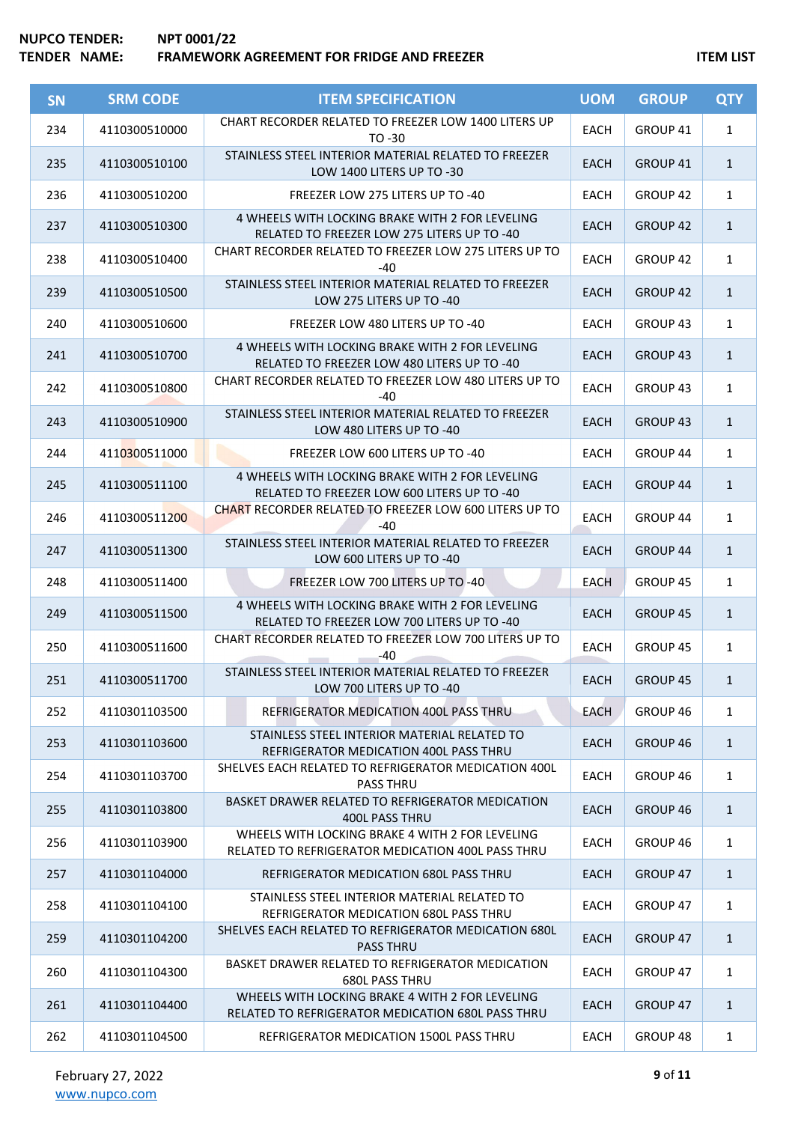| <b>SN</b> | <b>SRM CODE</b> | <b>ITEM SPECIFICATION</b>                                                                            | <b>UOM</b>  | <b>GROUP</b>        | <b>QTY</b>   |
|-----------|-----------------|------------------------------------------------------------------------------------------------------|-------------|---------------------|--------------|
| 234       | 4110300510000   | <b>CHART RECORDER RELATED TO FREEZER LOW 1400 LITERS UP</b><br>TO -30                                | <b>EACH</b> | GROUP 41            | $\mathbf{1}$ |
| 235       | 4110300510100   | STAINLESS STEEL INTERIOR MATERIAL RELATED TO FREEZER<br>LOW 1400 LITERS UP TO -30                    | <b>EACH</b> | GROUP 41            | $\mathbf{1}$ |
| 236       | 4110300510200   | FREEZER LOW 275 LITERS UP TO -40                                                                     | <b>EACH</b> | GROUP 42            | $\mathbf{1}$ |
| 237       | 4110300510300   | 4 WHEELS WITH LOCKING BRAKE WITH 2 FOR LEVELING<br>RELATED TO FREEZER LOW 275 LITERS UP TO -40       | <b>EACH</b> | GROUP 42            | $\mathbf{1}$ |
| 238       | 4110300510400   | CHART RECORDER RELATED TO FREEZER LOW 275 LITERS UP TO<br>$-40$                                      | <b>EACH</b> | GROUP 42            | $\mathbf{1}$ |
| 239       | 4110300510500   | STAINLESS STEEL INTERIOR MATERIAL RELATED TO FREEZER<br>LOW 275 LITERS UP TO -40                     | <b>EACH</b> | <b>GROUP 42</b>     | $\mathbf{1}$ |
| 240       | 4110300510600   | FREEZER LOW 480 LITERS UP TO -40                                                                     | <b>EACH</b> | GROUP 43            | $\mathbf{1}$ |
| 241       | 4110300510700   | 4 WHEELS WITH LOCKING BRAKE WITH 2 FOR LEVELING<br>RELATED TO FREEZER LOW 480 LITERS UP TO -40       | <b>EACH</b> | GROUP 43            | $\mathbf{1}$ |
| 242       | 4110300510800   | CHART RECORDER RELATED TO FREEZER LOW 480 LITERS UP TO<br>-40                                        | <b>EACH</b> | GROUP <sub>43</sub> | $\mathbf{1}$ |
| 243       | 4110300510900   | STAINLESS STEEL INTERIOR MATERIAL RELATED TO FREEZER<br>LOW 480 LITERS UP TO -40                     | <b>EACH</b> | GROUP <sub>43</sub> | $\mathbf{1}$ |
| 244       | 4110300511000   | FREEZER LOW 600 LITERS UP TO -40                                                                     | <b>EACH</b> | GROUP 44            | $\mathbf{1}$ |
| 245       | 4110300511100   | 4 WHEELS WITH LOCKING BRAKE WITH 2 FOR LEVELING<br>RELATED TO FREEZER LOW 600 LITERS UP TO -40       | <b>EACH</b> | <b>GROUP 44</b>     | $\mathbf{1}$ |
| 246       | 4110300511200   | CHART RECORDER RELATED TO FREEZER LOW 600 LITERS UP TO<br>$-40$                                      | <b>EACH</b> | GROUP 44            | $\mathbf{1}$ |
| 247       | 4110300511300   | STAINLESS STEEL INTERIOR MATERIAL RELATED TO FREEZER<br>LOW 600 LITERS UP TO -40                     | <b>EACH</b> | <b>GROUP 44</b>     | $\mathbf{1}$ |
| 248       | 4110300511400   | FREEZER LOW 700 LITERS UP TO -40                                                                     | <b>EACH</b> | GROUP 45            | $\mathbf{1}$ |
| 249       | 4110300511500   | 4 WHEELS WITH LOCKING BRAKE WITH 2 FOR LEVELING<br>RELATED TO FREEZER LOW 700 LITERS UP TO -40       | <b>EACH</b> | GROUP 45            | $\mathbf{1}$ |
| 250       | 4110300511600   | CHART RECORDER RELATED TO FREEZER LOW 700 LITERS UP TO<br>$-40$                                      | <b>EACH</b> | GROUP 45            | $\mathbf{1}$ |
| 251       | 4110300511700   | STAINLESS STEEL INTERIOR MATERIAL RELATED TO FREEZER<br>LOW 700 LITERS UP TO -40                     | <b>EACH</b> | GROUP 45            | $\mathbf{1}$ |
| 252       | 4110301103500   | REFRIGERATOR MEDICATION 400L PASS THRU                                                               | EACH        | GROUP 46            | $\mathbf{1}$ |
| 253       | 4110301103600   | STAINLESS STEEL INTERIOR MATERIAL RELATED TO<br>REFRIGERATOR MEDICATION 400L PASS THRU               | <b>EACH</b> | GROUP 46            | $\mathbf{1}$ |
| 254       | 4110301103700   | SHELVES EACH RELATED TO REFRIGERATOR MEDICATION 400L<br><b>PASS THRU</b>                             | EACH        | GROUP 46            | $\mathbf{1}$ |
| 255       | 4110301103800   | BASKET DRAWER RELATED TO REFRIGERATOR MEDICATION<br>400L PASS THRU                                   | <b>EACH</b> | GROUP <sub>46</sub> | $\mathbf{1}$ |
| 256       | 4110301103900   | WHEELS WITH LOCKING BRAKE 4 WITH 2 FOR LEVELING<br>RELATED TO REFRIGERATOR MEDICATION 400L PASS THRU | EACH        | GROUP 46            | $\mathbf{1}$ |
| 257       | 4110301104000   | REFRIGERATOR MEDICATION 680L PASS THRU                                                               | <b>EACH</b> | GROUP 47            | $\mathbf{1}$ |
| 258       | 4110301104100   | STAINLESS STEEL INTERIOR MATERIAL RELATED TO<br>REFRIGERATOR MEDICATION 680L PASS THRU               | <b>EACH</b> | GROUP 47            | $\mathbf{1}$ |
| 259       | 4110301104200   | SHELVES EACH RELATED TO REFRIGERATOR MEDICATION 680L<br><b>PASS THRU</b>                             | <b>EACH</b> | GROUP 47            | $\mathbf{1}$ |
| 260       | 4110301104300   | BASKET DRAWER RELATED TO REFRIGERATOR MEDICATION<br><b>680L PASS THRU</b>                            | <b>EACH</b> | GROUP 47            | $\mathbf{1}$ |
| 261       | 4110301104400   | WHEELS WITH LOCKING BRAKE 4 WITH 2 FOR LEVELING<br>RELATED TO REFRIGERATOR MEDICATION 680L PASS THRU | <b>EACH</b> | <b>GROUP 47</b>     | $\mathbf{1}$ |
| 262       | 4110301104500   | REFRIGERATOR MEDICATION 1500L PASS THRU                                                              | EACH        | GROUP 48            | $\mathbf{1}$ |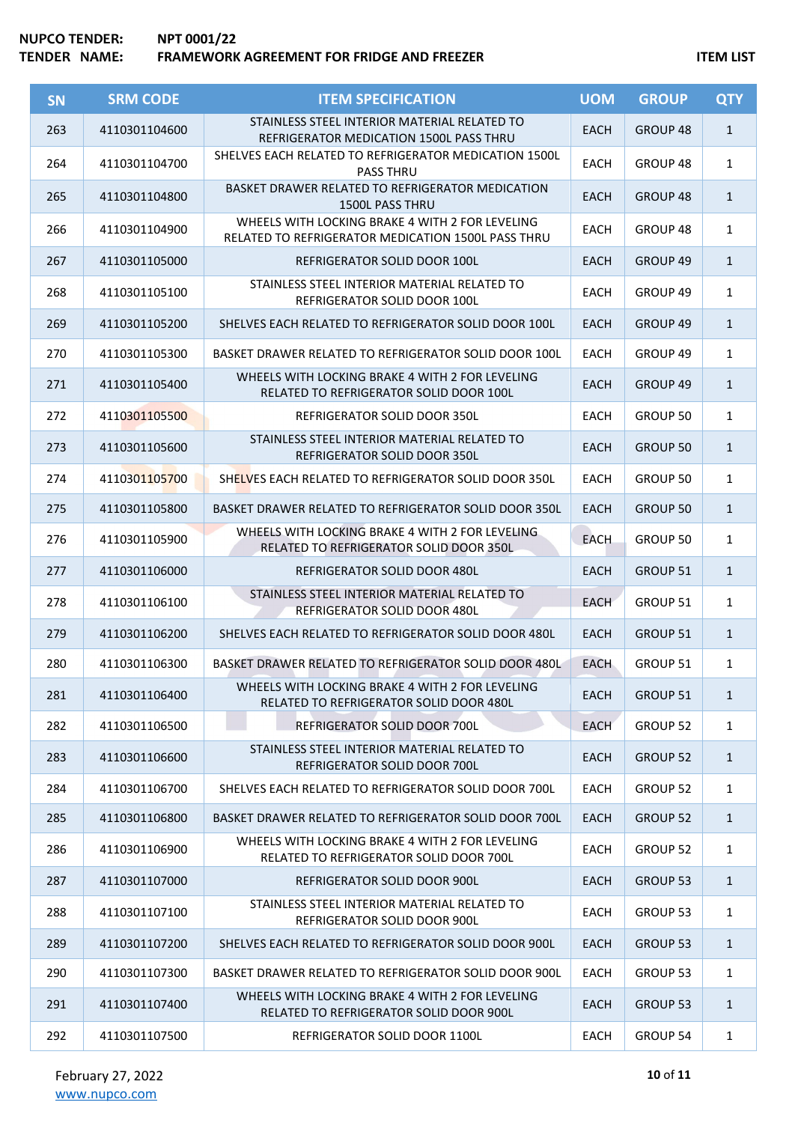| <b>SN</b> | <b>SRM CODE</b> | <b>ITEM SPECIFICATION</b>                                                                             | <b>UOM</b>  | <b>GROUP</b>        | <b>QTY</b>   |
|-----------|-----------------|-------------------------------------------------------------------------------------------------------|-------------|---------------------|--------------|
| 263       | 4110301104600   | STAINLESS STEEL INTERIOR MATERIAL RELATED TO<br>REFRIGERATOR MEDICATION 1500L PASS THRU               | <b>EACH</b> | GROUP 48            | $\mathbf{1}$ |
| 264       | 4110301104700   | SHELVES EACH RELATED TO REFRIGERATOR MEDICATION 1500L<br><b>PASS THRU</b>                             | <b>EACH</b> | GROUP <sub>48</sub> | $\mathbf{1}$ |
| 265       | 4110301104800   | BASKET DRAWER RELATED TO REFRIGERATOR MEDICATION<br><b>1500L PASS THRU</b>                            | <b>EACH</b> | GROUP 48            | $\mathbf{1}$ |
| 266       | 4110301104900   | WHEELS WITH LOCKING BRAKE 4 WITH 2 FOR LEVELING<br>RELATED TO REFRIGERATOR MEDICATION 1500L PASS THRU | <b>EACH</b> | GROUP 48            | $\mathbf{1}$ |
| 267       | 4110301105000   | REFRIGERATOR SOLID DOOR 100L                                                                          | EACH        | <b>GROUP 49</b>     | $\mathbf{1}$ |
| 268       | 4110301105100   | STAINLESS STEEL INTERIOR MATERIAL RELATED TO<br>REFRIGERATOR SOLID DOOR 100L                          | <b>EACH</b> | GROUP 49            | $\mathbf{1}$ |
| 269       | 4110301105200   | SHELVES EACH RELATED TO REFRIGERATOR SOLID DOOR 100L                                                  | <b>EACH</b> | GROUP 49            | $\mathbf{1}$ |
| 270       | 4110301105300   | BASKET DRAWER RELATED TO REFRIGERATOR SOLID DOOR 100L                                                 | <b>EACH</b> | GROUP 49            | $\mathbf{1}$ |
| 271       | 4110301105400   | WHEELS WITH LOCKING BRAKE 4 WITH 2 FOR LEVELING<br>RELATED TO REFRIGERATOR SOLID DOOR 100L            | <b>EACH</b> | <b>GROUP 49</b>     | $\mathbf{1}$ |
| 272       | 4110301105500   | REFRIGERATOR SOLID DOOR 350L                                                                          | <b>EACH</b> | GROUP 50            | $\mathbf{1}$ |
| 273       | 4110301105600   | STAINLESS STEEL INTERIOR MATERIAL RELATED TO<br>REFRIGERATOR SOLID DOOR 350L                          | <b>EACH</b> | <b>GROUP 50</b>     | $\mathbf{1}$ |
| 274       | 4110301105700   | SHELVES EACH RELATED TO REFRIGERATOR SOLID DOOR 350L                                                  | <b>EACH</b> | GROUP 50            | $\mathbf{1}$ |
| 275       | 4110301105800   | BASKET DRAWER RELATED TO REFRIGERATOR SOLID DOOR 350L                                                 | <b>EACH</b> | <b>GROUP 50</b>     | $\mathbf{1}$ |
| 276       | 4110301105900   | WHEELS WITH LOCKING BRAKE 4 WITH 2 FOR LEVELING<br>RELATED TO REFRIGERATOR SOLID DOOR 350L            | <b>EACH</b> | GROUP 50            | $\mathbf{1}$ |
| 277       | 4110301106000   | REFRIGERATOR SOLID DOOR 480L                                                                          | <b>EACH</b> | <b>GROUP 51</b>     | $\mathbf{1}$ |
| 278       | 4110301106100   | STAINLESS STEEL INTERIOR MATERIAL RELATED TO<br>REFRIGERATOR SOLID DOOR 480L                          | <b>EACH</b> | GROUP 51            | $\mathbf{1}$ |
| 279       | 4110301106200   | SHELVES EACH RELATED TO REFRIGERATOR SOLID DOOR 480L                                                  | <b>EACH</b> | <b>GROUP 51</b>     | $\mathbf{1}$ |
| 280       | 4110301106300   | BASKET DRAWER RELATED TO REFRIGERATOR SOLID DOOR 480L                                                 | <b>EACH</b> | GROUP 51            | $\mathbf{1}$ |
| 281       | 4110301106400   | WHEELS WITH LOCKING BRAKE 4 WITH 2 FOR LEVELING<br>RELATED TO REFRIGERATOR SOLID DOOR 480L            | <b>EACH</b> | <b>GROUP 51</b>     | $\mathbf{1}$ |
| 282       | 4110301106500   | REFRIGERATOR SOLID DOOR 700L                                                                          | <b>EACH</b> | GROUP 52            | $\mathbf{1}$ |
| 283       | 4110301106600   | STAINLESS STEEL INTERIOR MATERIAL RELATED TO<br>REFRIGERATOR SOLID DOOR 700L                          | <b>EACH</b> | <b>GROUP 52</b>     | $\mathbf{1}$ |
| 284       | 4110301106700   | SHELVES EACH RELATED TO REFRIGERATOR SOLID DOOR 700L                                                  | <b>EACH</b> | GROUP 52            | $\mathbf{1}$ |
| 285       | 4110301106800   | BASKET DRAWER RELATED TO REFRIGERATOR SOLID DOOR 700L                                                 | <b>EACH</b> | <b>GROUP 52</b>     | $\mathbf{1}$ |
| 286       | 4110301106900   | WHEELS WITH LOCKING BRAKE 4 WITH 2 FOR LEVELING<br>RELATED TO REFRIGERATOR SOLID DOOR 700L            | EACH        | GROUP 52            | $\mathbf{1}$ |
| 287       | 4110301107000   | REFRIGERATOR SOLID DOOR 900L                                                                          | <b>EACH</b> | <b>GROUP 53</b>     | $\mathbf{1}$ |
| 288       | 4110301107100   | STAINLESS STEEL INTERIOR MATERIAL RELATED TO<br>REFRIGERATOR SOLID DOOR 900L                          | EACH        | GROUP 53            | $\mathbf{1}$ |
| 289       | 4110301107200   | SHELVES EACH RELATED TO REFRIGERATOR SOLID DOOR 900L                                                  | <b>EACH</b> | <b>GROUP 53</b>     | $\mathbf{1}$ |
| 290       | 4110301107300   | BASKET DRAWER RELATED TO REFRIGERATOR SOLID DOOR 900L                                                 | <b>EACH</b> | GROUP 53            | $\mathbf{1}$ |
| 291       | 4110301107400   | WHEELS WITH LOCKING BRAKE 4 WITH 2 FOR LEVELING<br>RELATED TO REFRIGERATOR SOLID DOOR 900L            | <b>EACH</b> | <b>GROUP 53</b>     | $\mathbf{1}$ |
| 292       | 4110301107500   | REFRIGERATOR SOLID DOOR 1100L                                                                         | EACH        | GROUP 54            | $\mathbf{1}$ |